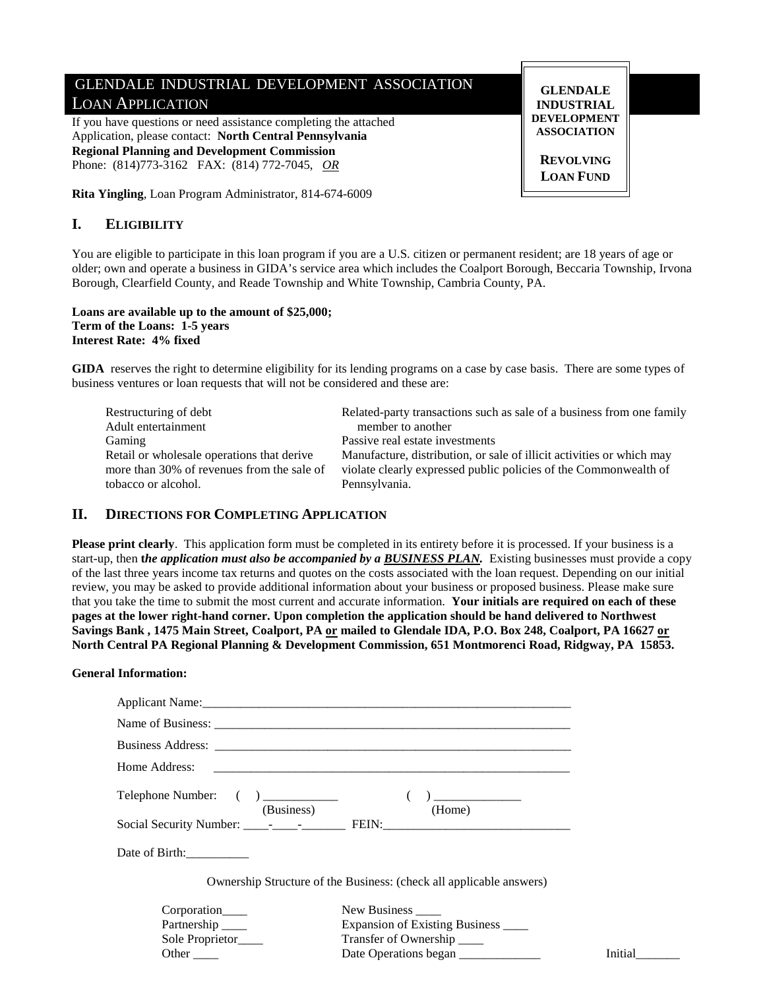# GLENDALE INDUSTRIAL DEVELOPMENT ASSOCIATION LOAN APPLICATION

If you have questions or need assistance completing the attached Application, please contact: **North Central Pennsylvania Regional Planning and Development Commission**  Phone: (814)773-3162 FAX: (814) 772-7045, *OR*

**Rita Yingling**, Loan Program Administrator, 814-674-6009

# **I. ELIGIBILITY**

You are eligible to participate in this loan program if you are a U.S. citizen or permanent resident; are 18 years of age or older; own and operate a business in GIDA's service area which includes the Coalport Borough, Beccaria Township, Irvona Borough, Clearfield County, and Reade Township and White Township, Cambria County, PA.

### **Loans are available up to the amount of \$25,000; Term of the Loans: 1-5 years Interest Rate: 4% fixed**

**GIDA** reserves the right to determine eligibility for its lending programs on a case by case basis. There are some types of business ventures or loan requests that will not be considered and these are:

| Restructuring of debt                      | Related-party transactions such as sale of a business from one family |
|--------------------------------------------|-----------------------------------------------------------------------|
| Adult entertainment                        | member to another                                                     |
| Gaming                                     | Passive real estate investments                                       |
| Retail or wholesale operations that derive | Manufacture, distribution, or sale of illicit activities or which may |
| more than 30% of revenues from the sale of | violate clearly expressed public policies of the Commonwealth of      |
| tobacco or alcohol.                        | Pennsylvania.                                                         |

## **II. DIRECTIONS FOR COMPLETING APPLICATION**

**Please print clearly**. This application form must be completed in its entirety before it is processed. If your business is a start-up, then **t***he application must also be accompanied by a BUSINESS PLAN.* Existing businesses must provide a copy of the last three years income tax returns and quotes on the costs associated with the loan request. Depending on our initial review, you may be asked to provide additional information about your business or proposed business. Please make sure that you take the time to submit the most current and accurate information. **Your initials are required on each of these pages at the lower right-hand corner. Upon completion the application should be hand delivered to Northwest Savings Bank , 1475 Main Street, Coalport, PA or mailed to Glendale IDA, P.O. Box 248, Coalport, PA 16627 or North Central PA Regional Planning & Development Commission, 651 Montmorenci Road, Ridgway, PA 15853.** 

## **General Information:**

| Telephone Number: () _____________ | (Business)<br>(Home)                                                |         |
|------------------------------------|---------------------------------------------------------------------|---------|
|                                    |                                                                     |         |
| Date of Birth:                     |                                                                     |         |
|                                    | Ownership Structure of the Business: (check all applicable answers) |         |
| Corporation                        | New Business _____                                                  |         |
| Partnership ______                 | Expansion of Existing Business _____                                |         |
| Sole Proprietor <sub>____</sub>    | Transfer of Ownership ______                                        |         |
| Other                              | Date Operations began                                               | Initial |

**DEVELOPMENT ASSOCIATION REVOLVING LOAN FUND** 

**GLENDALE INDUSTRIAL**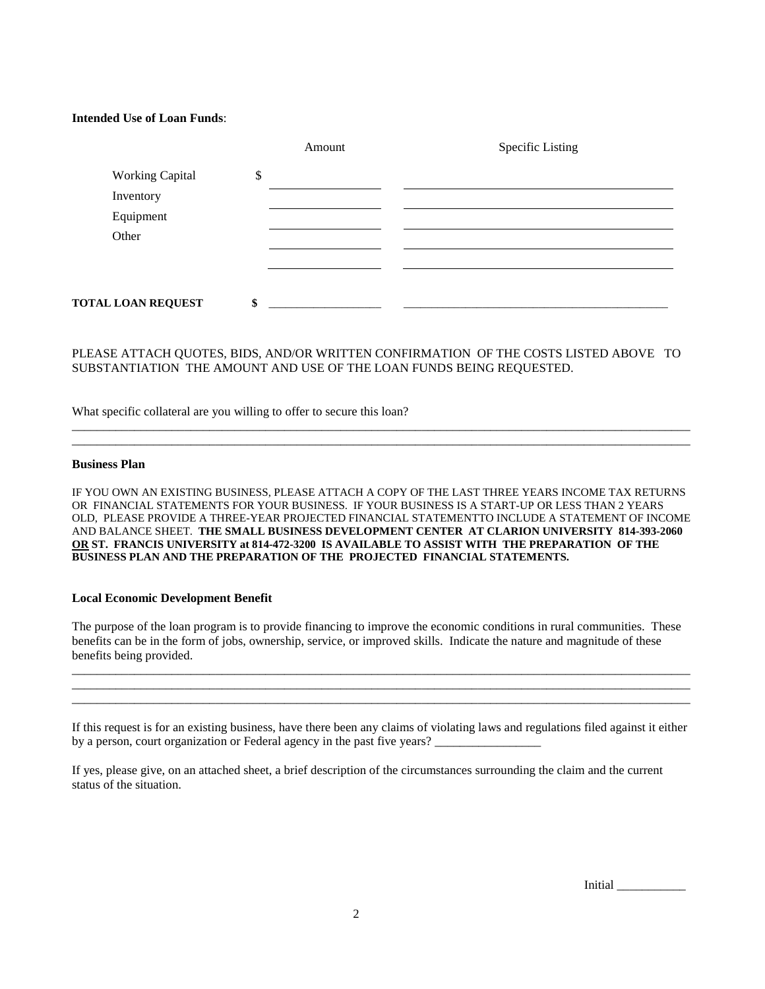### **Intended Use of Loan Funds**:

|                           |        | Amount | <b>Specific Listing</b> |
|---------------------------|--------|--------|-------------------------|
| <b>Working Capital</b>    | ¢<br>Φ |        |                         |
| Inventory                 |        |        |                         |
| Equipment                 |        |        |                         |
| Other                     |        |        |                         |
|                           |        |        |                         |
|                           |        |        |                         |
| <b>TOTAL LOAN REQUEST</b> | \$     |        |                         |

## PLEASE ATTACH QUOTES, BIDS, AND/OR WRITTEN CONFIRMATION OF THE COSTS LISTED ABOVE TO SUBSTANTIATION THE AMOUNT AND USE OF THE LOAN FUNDS BEING REQUESTED.

\_\_\_\_\_\_\_\_\_\_\_\_\_\_\_\_\_\_\_\_\_\_\_\_\_\_\_\_\_\_\_\_\_\_\_\_\_\_\_\_\_\_\_\_\_\_\_\_\_\_\_\_\_\_\_\_\_\_\_\_\_\_\_\_\_\_\_\_\_\_\_\_\_\_\_\_\_\_\_\_\_\_\_\_\_\_\_\_\_\_\_\_\_\_\_\_\_\_\_ \_\_\_\_\_\_\_\_\_\_\_\_\_\_\_\_\_\_\_\_\_\_\_\_\_\_\_\_\_\_\_\_\_\_\_\_\_\_\_\_\_\_\_\_\_\_\_\_\_\_\_\_\_\_\_\_\_\_\_\_\_\_\_\_\_\_\_\_\_\_\_\_\_\_\_\_\_\_\_\_\_\_\_\_\_\_\_\_\_\_\_\_\_\_\_\_\_\_\_

What specific collateral are you willing to offer to secure this loan?

#### **Business Plan**

IF YOU OWN AN EXISTING BUSINESS, PLEASE ATTACH A COPY OF THE LAST THREE YEARS INCOME TAX RETURNS OR FINANCIAL STATEMENTS FOR YOUR BUSINESS. IF YOUR BUSINESS IS A START-UP OR LESS THAN 2 YEARS OLD, PLEASE PROVIDE A THREE-YEAR PROJECTED FINANCIAL STATEMENTTO INCLUDE A STATEMENT OF INCOME AND BALANCE SHEET. **THE SMALL BUSINESS DEVELOPMENT CENTER AT CLARION UNIVERSITY 814-393-2060 OR ST. FRANCIS UNIVERSITY at 814-472-3200 IS AVAILABLE TO ASSIST WITH THE PREPARATION OF THE BUSINESS PLAN AND THE PREPARATION OF THE PROJECTED FINANCIAL STATEMENTS.** 

### **Local Economic Development Benefit**

The purpose of the loan program is to provide financing to improve the economic conditions in rural communities. These benefits can be in the form of jobs, ownership, service, or improved skills. Indicate the nature and magnitude of these benefits being provided.

\_\_\_\_\_\_\_\_\_\_\_\_\_\_\_\_\_\_\_\_\_\_\_\_\_\_\_\_\_\_\_\_\_\_\_\_\_\_\_\_\_\_\_\_\_\_\_\_\_\_\_\_\_\_\_\_\_\_\_\_\_\_\_\_\_\_\_\_\_\_\_\_\_\_\_\_\_\_\_\_\_\_\_\_\_\_\_\_\_\_\_\_\_\_\_\_\_\_\_ \_\_\_\_\_\_\_\_\_\_\_\_\_\_\_\_\_\_\_\_\_\_\_\_\_\_\_\_\_\_\_\_\_\_\_\_\_\_\_\_\_\_\_\_\_\_\_\_\_\_\_\_\_\_\_\_\_\_\_\_\_\_\_\_\_\_\_\_\_\_\_\_\_\_\_\_\_\_\_\_\_\_\_\_\_\_\_\_\_\_\_\_\_\_\_\_\_\_\_ \_\_\_\_\_\_\_\_\_\_\_\_\_\_\_\_\_\_\_\_\_\_\_\_\_\_\_\_\_\_\_\_\_\_\_\_\_\_\_\_\_\_\_\_\_\_\_\_\_\_\_\_\_\_\_\_\_\_\_\_\_\_\_\_\_\_\_\_\_\_\_\_\_\_\_\_\_\_\_\_\_\_\_\_\_\_\_\_\_\_\_\_\_\_\_\_\_\_\_

If this request is for an existing business, have there been any claims of violating laws and regulations filed against it either by a person, court organization or Federal agency in the past five years?

If yes, please give, on an attached sheet, a brief description of the circumstances surrounding the claim and the current status of the situation.

Initial \_\_\_\_\_\_\_\_\_\_\_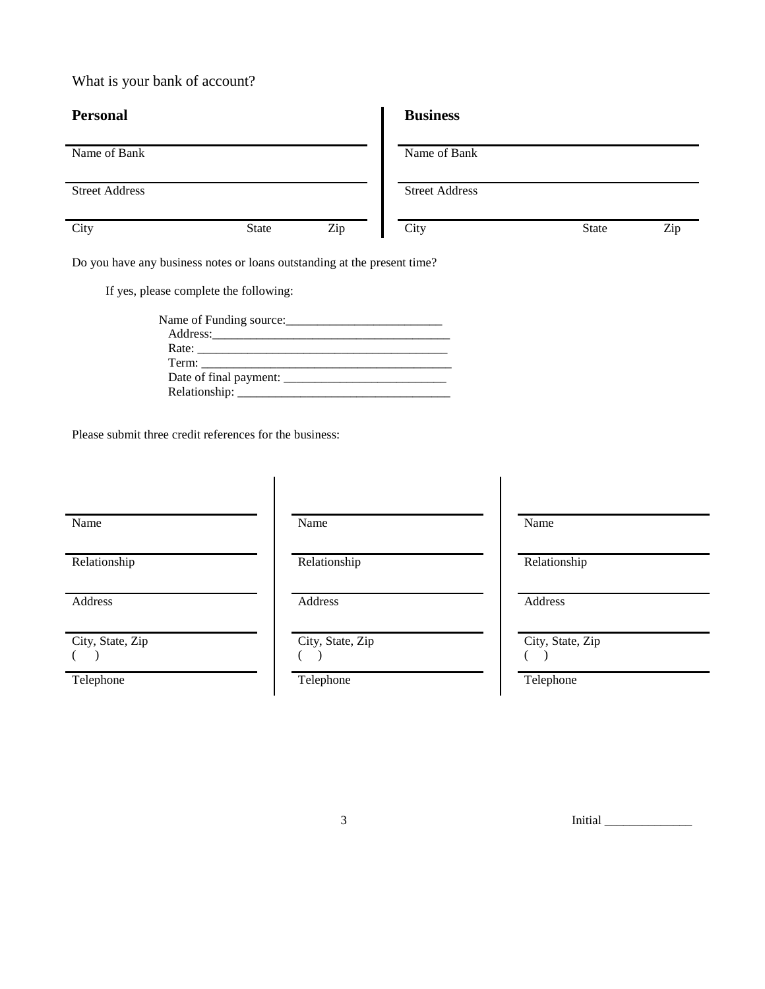What is your bank of account?

| <b>Personal</b>                                                          |       |     | <b>Business</b>       |       |     |
|--------------------------------------------------------------------------|-------|-----|-----------------------|-------|-----|
| Name of Bank                                                             |       |     | Name of Bank          |       |     |
| <b>Street Address</b>                                                    |       |     | <b>Street Address</b> |       |     |
| City                                                                     | State | Zip | City                  | State | Zip |
| Do you have any business notes on loons outstanding at the nucleus time? |       |     |                       |       |     |

Do you have any business notes or loans outstanding at the present time?

If yes, please complete the following:

| Name of Funding source:                                                                                                                                                                                                       |  |
|-------------------------------------------------------------------------------------------------------------------------------------------------------------------------------------------------------------------------------|--|
|                                                                                                                                                                                                                               |  |
| Rate: and the contract of the contract of the contract of the contract of the contract of the contract of the contract of the contract of the contract of the contract of the contract of the contract of the contract of the |  |
|                                                                                                                                                                                                                               |  |
|                                                                                                                                                                                                                               |  |
|                                                                                                                                                                                                                               |  |

Please submit three credit references for the business:

Address Address Address Address Address Address Address Address Address Address Address Address Address Address Address Address Address Address Address Address Address Address Address Address Address Address Address Addres

City, State, Zip  $($   $)$ 

Name Name Name

City, State, Zip  $($   $)$ 

Relationship Relationship Relationship Relationship

City, State, Zip  $($   $)$ 

Telephone Telephone Telephone Telephone

 $3$  Initial  $\Box$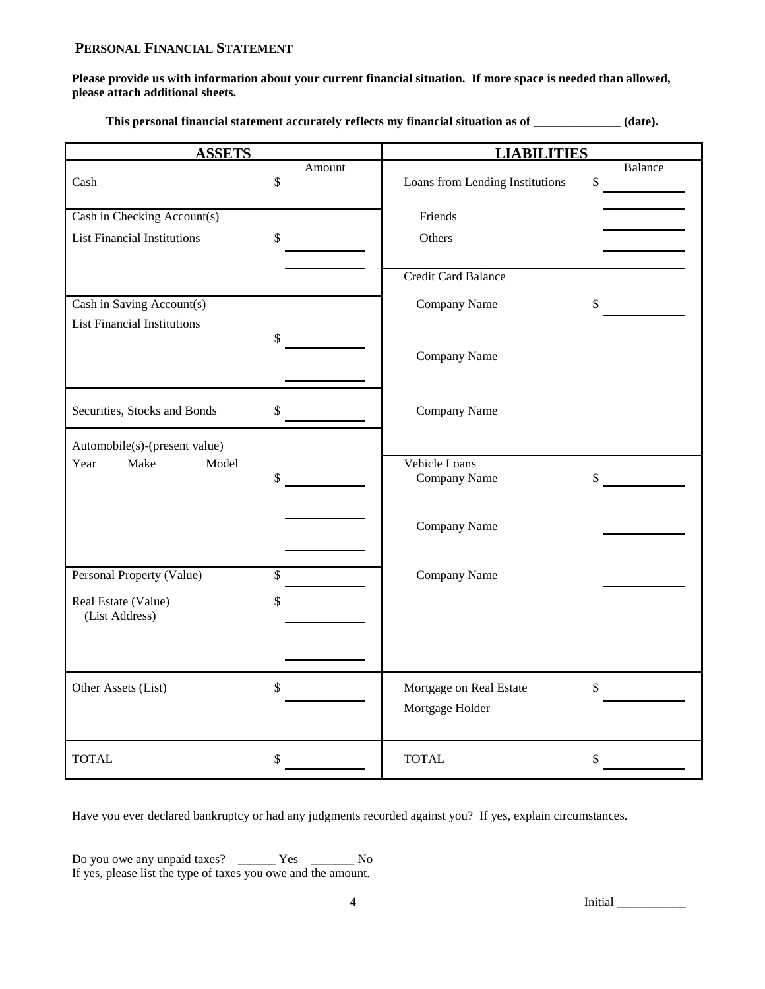# **PERSONAL FINANCIAL STATEMENT**

**Please provide us with information about your current financial situation. If more space is needed than allowed, please attach additional sheets.**

**This personal financial statement accurately reflects my financial situation as of \_\_\_\_\_\_\_\_\_\_\_\_\_\_ (date).**

| <b>ASSETS</b>                         |              | <b>LIABILITIES</b>              |                          |
|---------------------------------------|--------------|---------------------------------|--------------------------|
| Cash                                  | Amount<br>\$ | Loans from Lending Institutions | Balance<br>$\mathsf{\$}$ |
| Cash in Checking Account(s)           |              | Friends                         |                          |
| <b>List Financial Institutions</b>    | \$           | Others                          |                          |
|                                       |              |                                 |                          |
|                                       |              | Credit Card Balance             |                          |
| Cash in Saving Account(s)             |              | Company Name                    | \$                       |
| <b>List Financial Institutions</b>    | \$           |                                 |                          |
|                                       |              | Company Name                    |                          |
| Securities, Stocks and Bonds          | \$           | Company Name                    |                          |
| Automobile(s)-(present value)         |              |                                 |                          |
| Make<br>Model<br>Year                 |              | Vehicle Loans                   |                          |
|                                       | \$           | Company Name                    | \$                       |
|                                       |              |                                 |                          |
|                                       |              | Company Name                    |                          |
|                                       |              |                                 |                          |
| Personal Property (Value)             | \$           | Company Name                    |                          |
| Real Estate (Value)<br>(List Address) | \$           |                                 |                          |
|                                       |              |                                 |                          |
| Other Assets (List)                   | \$           | Mortgage on Real Estate         | \$                       |
|                                       |              | Mortgage Holder                 |                          |
| <b>TOTAL</b>                          | \$           | <b>TOTAL</b>                    | \$                       |

Have you ever declared bankruptcy or had any judgments recorded against you? If yes, explain circumstances.

Do you owe any unpaid taxes? \_\_\_\_\_\_\_ Yes \_\_\_\_\_\_\_\_ No If yes, please list the type of taxes you owe and the amount.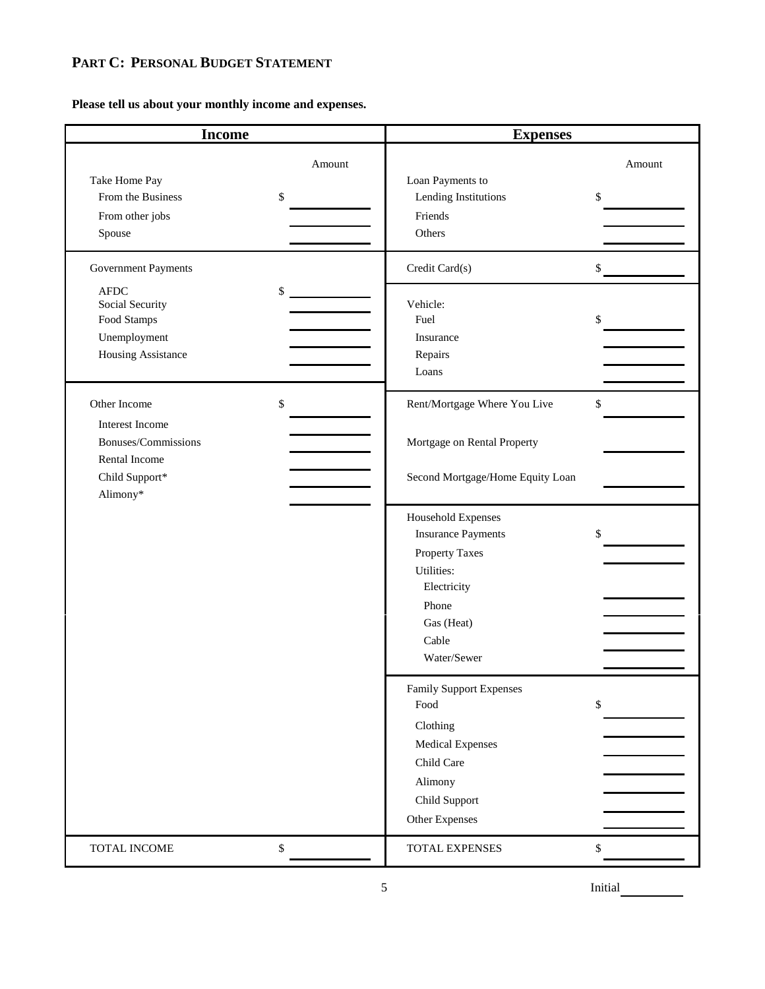# **PART C: PERSONAL BUDGET STATEMENT**

**Please tell us about your monthly income and expenses.**

| <b>Income</b>                                                                                                                    |                    | <b>Expenses</b>                                                                                                                                      |                          |
|----------------------------------------------------------------------------------------------------------------------------------|--------------------|------------------------------------------------------------------------------------------------------------------------------------------------------|--------------------------|
| Take Home Pay<br>From the Business<br>From other jobs<br>Spouse<br>Government Payments<br>AFDC<br>Social Security<br>Food Stamps | Amount<br>\$<br>\$ | Loan Payments to<br>Lending Institutions<br>Friends<br>Others<br>Credit Card(s)<br>Vehicle:<br>Fuel<br>Insurance                                     | Amount<br>\$<br>\$<br>\$ |
| Unemployment<br>Housing Assistance                                                                                               |                    | Repairs<br>Loans                                                                                                                                     |                          |
| Other Income<br>Interest Income<br>Bonuses/Commissions<br>Rental Income<br>Child Support*<br>Alimony*                            | \$                 | Rent/Mortgage Where You Live<br>Mortgage on Rental Property<br>Second Mortgage/Home Equity Loan                                                      | \$                       |
|                                                                                                                                  |                    | Household Expenses<br><b>Insurance Payments</b><br><b>Property Taxes</b><br>Utilities:<br>Electricity<br>Phone<br>Gas (Heat)<br>Cable<br>Water/Sewer | \$                       |
|                                                                                                                                  |                    | <b>Family Support Expenses</b><br>Food<br>Clothing<br>Medical Expenses<br>Child Care<br>Alimony<br>Child Support<br>Other Expenses                   | \$                       |
| TOTAL INCOME                                                                                                                     | \$                 | TOTAL EXPENSES                                                                                                                                       | \$                       |

5 Initial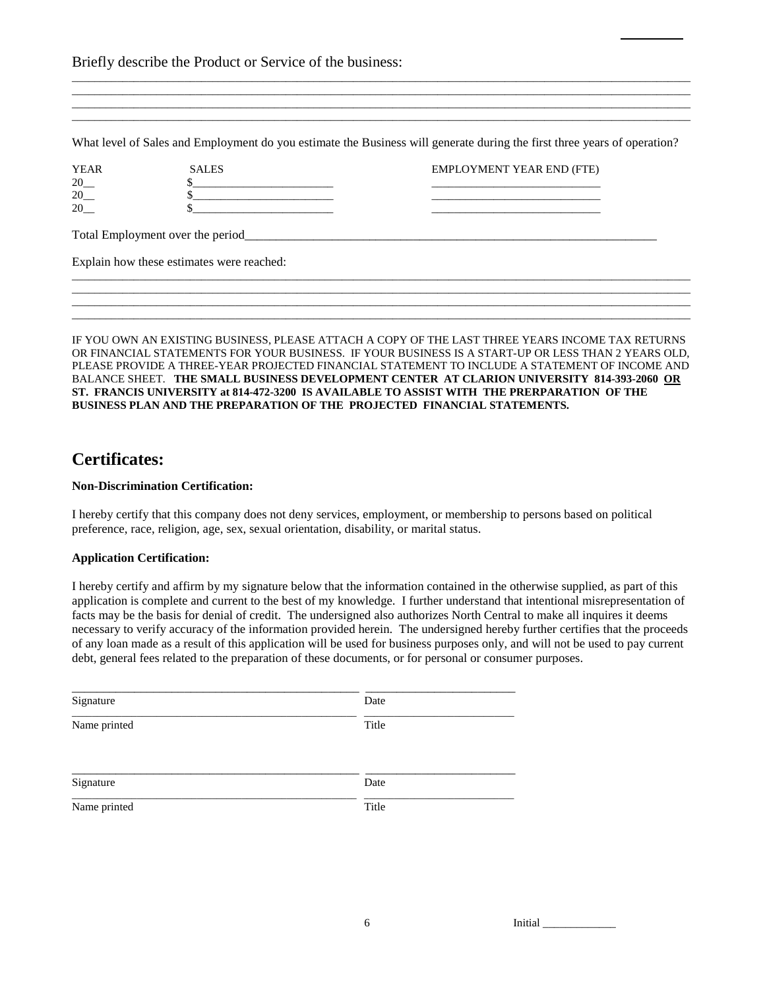|                   | Briefly describe the Product or Service of the business:                                                                                                              |                                                                                                                          |
|-------------------|-----------------------------------------------------------------------------------------------------------------------------------------------------------------------|--------------------------------------------------------------------------------------------------------------------------|
|                   |                                                                                                                                                                       |                                                                                                                          |
|                   |                                                                                                                                                                       | What level of Sales and Employment do you estimate the Business will generate during the first three years of operation? |
| <b>YEAR</b><br>20 | <b>SALES</b>                                                                                                                                                          | <b>EMPLOYMENT YEAR END (FTE)</b>                                                                                         |
| 20<br>20          | <u> 1986 - Jan Jan Jawa Barat, president de la propincia de la propincia de la propincia de la propincia de la p</u><br><u> 1980 - Andrea Andrew Maria (h. 1980).</u> | the control of the control of the control of the control of the control of                                               |
|                   |                                                                                                                                                                       |                                                                                                                          |
|                   | Explain how these estimates were reached:                                                                                                                             |                                                                                                                          |
|                   |                                                                                                                                                                       |                                                                                                                          |
|                   |                                                                                                                                                                       |                                                                                                                          |

IF YOU OWN AN EXISTING BUSINESS, PLEASE ATTACH A COPY OF THE LAST THREE YEARS INCOME TAX RETURNS OR FINANCIAL STATEMENTS FOR YOUR BUSINESS. IF YOUR BUSINESS IS A START-UP OR LESS THAN 2 YEARS OLD, PLEASE PROVIDE A THREE-YEAR PROJECTED FINANCIAL STATEMENT TO INCLUDE A STATEMENT OF INCOME AND BALANCE SHEET. **THE SMALL BUSINESS DEVELOPMENT CENTER AT CLARION UNIVERSITY 814-393-2060 OR ST. FRANCIS UNIVERSITY at 814-472-3200 IS AVAILABLE TO ASSIST WITH THE PRERPARATION OF THE BUSINESS PLAN AND THE PREPARATION OF THE PROJECTED FINANCIAL STATEMENTS.** 

# **Certificates:**

## **Non-Discrimination Certification:**

I hereby certify that this company does not deny services, employment, or membership to persons based on political preference, race, religion, age, sex, sexual orientation, disability, or marital status.

## **Application Certification:**

I hereby certify and affirm by my signature below that the information contained in the otherwise supplied, as part of this application is complete and current to the best of my knowledge. I further understand that intentional misrepresentation of facts may be the basis for denial of credit. The undersigned also authorizes North Central to make all inquires it deems necessary to verify accuracy of the information provided herein. The undersigned hereby further certifies that the proceeds of any loan made as a result of this application will be used for business purposes only, and will not be used to pay current debt, general fees related to the preparation of these documents, or for personal or consumer purposes.

| Signature    | Date  |
|--------------|-------|
| Name printed | Title |
| Signature    | Date  |
| Name printed | Title |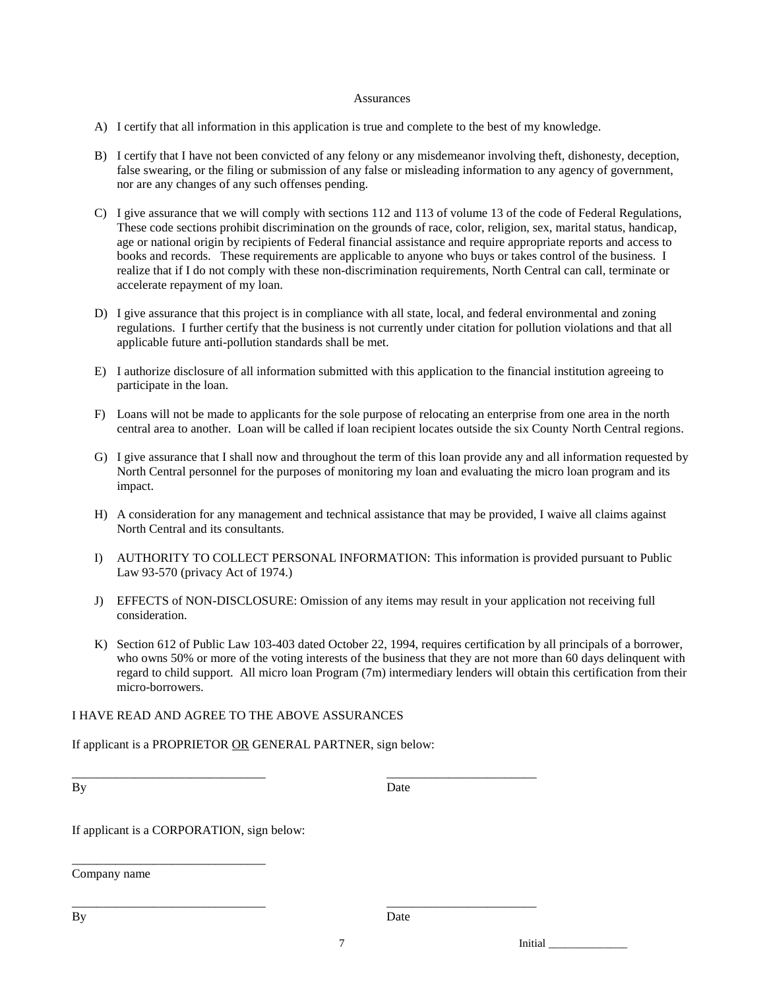### Assurances

- A) I certify that all information in this application is true and complete to the best of my knowledge.
- B) I certify that I have not been convicted of any felony or any misdemeanor involving theft, dishonesty, deception, false swearing, or the filing or submission of any false or misleading information to any agency of government, nor are any changes of any such offenses pending.
- C) I give assurance that we will comply with sections 112 and 113 of volume 13 of the code of Federal Regulations, These code sections prohibit discrimination on the grounds of race, color, religion, sex, marital status, handicap, age or national origin by recipients of Federal financial assistance and require appropriate reports and access to books and records. These requirements are applicable to anyone who buys or takes control of the business. I realize that if I do not comply with these non-discrimination requirements, North Central can call, terminate or accelerate repayment of my loan.
- D) I give assurance that this project is in compliance with all state, local, and federal environmental and zoning regulations. I further certify that the business is not currently under citation for pollution violations and that all applicable future anti-pollution standards shall be met.
- E) I authorize disclosure of all information submitted with this application to the financial institution agreeing to participate in the loan.
- F) Loans will not be made to applicants for the sole purpose of relocating an enterprise from one area in the north central area to another. Loan will be called if loan recipient locates outside the six County North Central regions.
- G) I give assurance that I shall now and throughout the term of this loan provide any and all information requested by North Central personnel for the purposes of monitoring my loan and evaluating the micro loan program and its impact.
- H) A consideration for any management and technical assistance that may be provided, I waive all claims against North Central and its consultants.
- I) AUTHORITY TO COLLECT PERSONAL INFORMATION: This information is provided pursuant to Public Law 93-570 (privacy Act of 1974.)
- J) EFFECTS of NON-DISCLOSURE: Omission of any items may result in your application not receiving full consideration.
- K) Section 612 of Public Law 103-403 dated October 22, 1994, requires certification by all principals of a borrower, who owns 50% or more of the voting interests of the business that they are not more than 60 days delinquent with regard to child support. All micro loan Program (7m) intermediary lenders will obtain this certification from their micro-borrowers.

## I HAVE READ AND AGREE TO THE ABOVE ASSURANCES

If applicant is a PROPRIETOR OR GENERAL PARTNER, sign below:

\_\_\_\_\_\_\_\_\_\_\_\_\_\_\_\_\_\_\_\_\_\_\_\_\_\_\_\_\_\_\_ \_\_\_\_\_\_\_\_\_\_\_\_\_\_\_\_\_\_\_\_\_\_\_\_

\_\_\_\_\_\_\_\_\_\_\_\_\_\_\_\_\_\_\_\_\_\_\_\_\_\_\_\_\_\_\_ \_\_\_\_\_\_\_\_\_\_\_\_\_\_\_\_\_\_\_\_\_\_\_\_

By Date

If applicant is a CORPORATION, sign below:

\_\_\_\_\_\_\_\_\_\_\_\_\_\_\_\_\_\_\_\_\_\_\_\_\_\_\_\_\_\_\_

Company name

By Date

7 Initial \_\_\_\_\_\_\_\_\_\_\_\_\_\_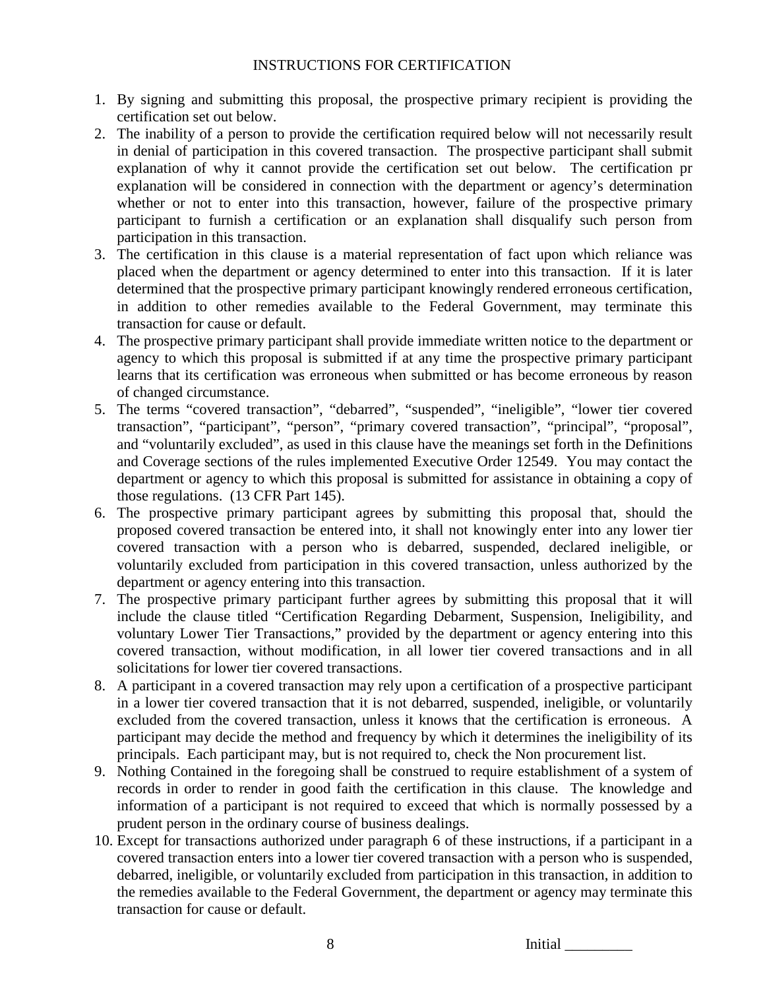# INSTRUCTIONS FOR CERTIFICATION

- 1. By signing and submitting this proposal, the prospective primary recipient is providing the certification set out below.
- 2. The inability of a person to provide the certification required below will not necessarily result in denial of participation in this covered transaction. The prospective participant shall submit explanation of why it cannot provide the certification set out below. The certification pr explanation will be considered in connection with the department or agency's determination whether or not to enter into this transaction, however, failure of the prospective primary participant to furnish a certification or an explanation shall disqualify such person from participation in this transaction.
- 3. The certification in this clause is a material representation of fact upon which reliance was placed when the department or agency determined to enter into this transaction. If it is later determined that the prospective primary participant knowingly rendered erroneous certification, in addition to other remedies available to the Federal Government, may terminate this transaction for cause or default.
- 4. The prospective primary participant shall provide immediate written notice to the department or agency to which this proposal is submitted if at any time the prospective primary participant learns that its certification was erroneous when submitted or has become erroneous by reason of changed circumstance.
- 5. The terms "covered transaction", "debarred", "suspended", "ineligible", "lower tier covered transaction", "participant", "person", "primary covered transaction", "principal", "proposal", and "voluntarily excluded", as used in this clause have the meanings set forth in the Definitions and Coverage sections of the rules implemented Executive Order 12549. You may contact the department or agency to which this proposal is submitted for assistance in obtaining a copy of those regulations. (13 CFR Part 145).
- 6. The prospective primary participant agrees by submitting this proposal that, should the proposed covered transaction be entered into, it shall not knowingly enter into any lower tier covered transaction with a person who is debarred, suspended, declared ineligible, or voluntarily excluded from participation in this covered transaction, unless authorized by the department or agency entering into this transaction.
- 7. The prospective primary participant further agrees by submitting this proposal that it will include the clause titled "Certification Regarding Debarment, Suspension, Ineligibility, and voluntary Lower Tier Transactions," provided by the department or agency entering into this covered transaction, without modification, in all lower tier covered transactions and in all solicitations for lower tier covered transactions.
- 8. A participant in a covered transaction may rely upon a certification of a prospective participant in a lower tier covered transaction that it is not debarred, suspended, ineligible, or voluntarily excluded from the covered transaction, unless it knows that the certification is erroneous. A participant may decide the method and frequency by which it determines the ineligibility of its principals. Each participant may, but is not required to, check the Non procurement list.
- 9. Nothing Contained in the foregoing shall be construed to require establishment of a system of records in order to render in good faith the certification in this clause. The knowledge and information of a participant is not required to exceed that which is normally possessed by a prudent person in the ordinary course of business dealings.
- 10. Except for transactions authorized under paragraph 6 of these instructions, if a participant in a covered transaction enters into a lower tier covered transaction with a person who is suspended, debarred, ineligible, or voluntarily excluded from participation in this transaction, in addition to the remedies available to the Federal Government, the department or agency may terminate this transaction for cause or default.

8 Initial  $\sim$